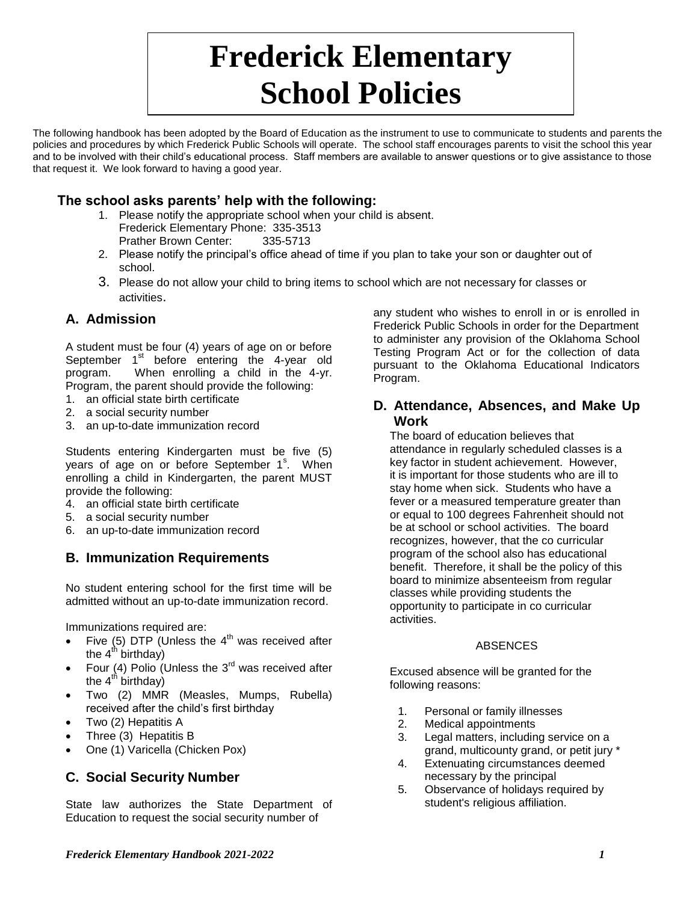# **Frederick Elementary School Policies**

The following handbook has been adopted by the Board of Education as the instrument to use to communicate to students and parents the policies and procedures by which Frederick Public Schools will operate. The school staff encourages parents to visit the school this year and to be involved with their child's educational process. Staff members are available to answer questions or to give assistance to those that request it. We look forward to having a good year.

# **The school asks parents' help with the following:**

- 1. Please notify the appropriate school when your child is absent. Frederick Elementary Phone: 335-3513 Prather Brown Center: 335-5713
- 2. Please notify the principal's office ahead of time if you plan to take your son or daughter out of school.
- 3. Please do not allow your child to bring items to school which are not necessary for classes or activities.

# **A. Admission**

A student must be four (4) years of age on or before September  $1<sup>st</sup>$  before entering the 4-year old program. When enrolling a child in the 4-yr. Program, the parent should provide the following:

- 1. an official state birth certificate
- 2. a social security number
- 3. an up-to-date immunization record

Students entering Kindergarten must be five (5) years of age on or before September 1<sup>s</sup>. When enrolling a child in Kindergarten, the parent MUST provide the following:

- 4. an official state birth certificate
- 5. a social security number
- 6. an up-to-date immunization record

## **B. Immunization Requirements**

No student entering school for the first time will be admitted without an up-to-date immunization record.

Immunizations required are:

- Five (5) DTP (Unless the  $4<sup>th</sup>$  was received after the  $4<sup>th</sup>$  birthday)
- Four (4) Polio (Unless the  $3^{rd}$  was received after the  $4^{\text{th}}$  birthday)
- Two (2) MMR (Measles, Mumps, Rubella) received after the child's first birthday
- Two (2) Hepatitis A
- Three (3) Hepatitis B
- One (1) Varicella (Chicken Pox)

## **C. Social Security Number**

State law authorizes the State Department of Education to request the social security number of

any student who wishes to enroll in or is enrolled in Frederick Public Schools in order for the Department to administer any provision of the Oklahoma School Testing Program Act or for the collection of data pursuant to the Oklahoma Educational Indicators Program.

#### **D. Attendance, Absences, and Make Up Work**

The board of education believes that attendance in regularly scheduled classes is a key factor in student achievement. However, it is important for those students who are ill to stay home when sick. Students who have a fever or a measured temperature greater than or equal to 100 degrees Fahrenheit should not be at school or school activities. The board recognizes, however, that the co curricular program of the school also has educational benefit. Therefore, it shall be the policy of this board to minimize absenteeism from regular classes while providing students the opportunity to participate in co curricular activities.

#### ABSENCES

Excused absence will be granted for the following reasons:

- 1. Personal or family illnesses
- 2. Medical appointments
- 3. Legal matters, including service on a grand, multicounty grand, or petit jury \*
- 4. Extenuating circumstances deemed necessary by the principal
- 5. Observance of holidays required by student's religious affiliation.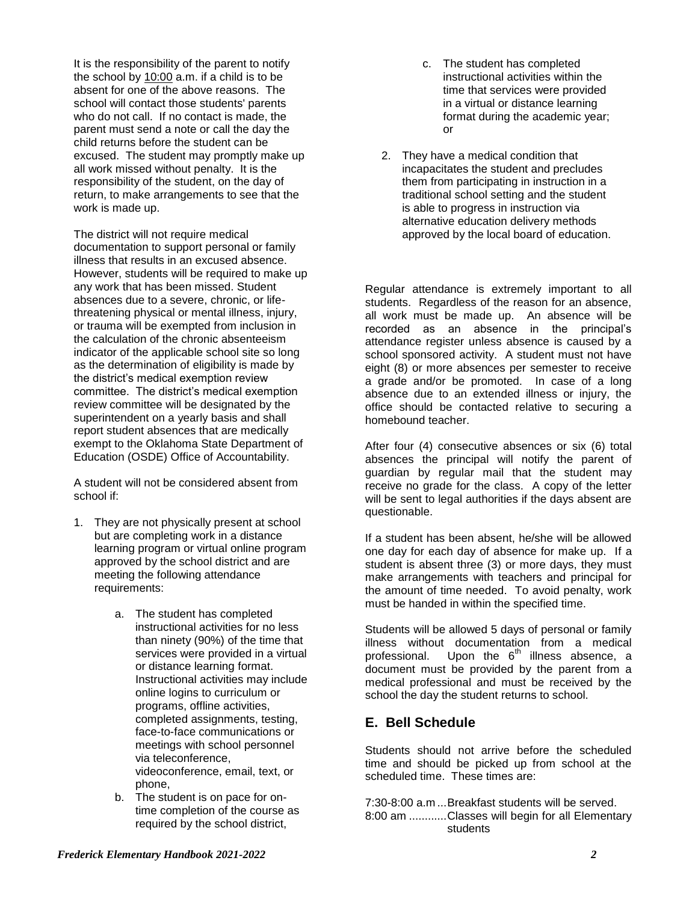It is the responsibility of the parent to notify the school by 10:00 a.m. if a child is to be absent for one of the above reasons. The school will contact those students' parents who do not call. If no contact is made, the parent must send a note or call the day the child returns before the student can be excused. The student may promptly make up all work missed without penalty. It is the responsibility of the student, on the day of return, to make arrangements to see that the work is made up.

The district will not require medical documentation to support personal or family illness that results in an excused absence. However, students will be required to make up any work that has been missed. Student absences due to a severe, chronic, or lifethreatening physical or mental illness, injury, or trauma will be exempted from inclusion in the calculation of the chronic absenteeism indicator of the applicable school site so long as the determination of eligibility is made by the district's medical exemption review committee. The district's medical exemption review committee will be designated by the superintendent on a yearly basis and shall report student absences that are medically exempt to the Oklahoma State Department of Education (OSDE) Office of Accountability.

A student will not be considered absent from school if:

- 1. They are not physically present at school but are completing work in a distance learning program or virtual online program approved by the school district and are meeting the following attendance requirements:
	- a. The student has completed instructional activities for no less than ninety (90%) of the time that services were provided in a virtual or distance learning format. Instructional activities may include online logins to curriculum or programs, offline activities, completed assignments, testing, face-to-face communications or meetings with school personnel via teleconference, videoconference, email, text, or phone,
	- b. The student is on pace for ontime completion of the course as required by the school district,
- c. The student has completed instructional activities within the time that services were provided in a virtual or distance learning format during the academic year; or
- 2. They have a medical condition that incapacitates the student and precludes them from participating in instruction in a traditional school setting and the student is able to progress in instruction via alternative education delivery methods approved by the local board of education.

Regular attendance is extremely important to all students. Regardless of the reason for an absence, all work must be made up. An absence will be recorded as an absence in the principal's attendance register unless absence is caused by a school sponsored activity. A student must not have eight (8) or more absences per semester to receive a grade and/or be promoted. In case of a long absence due to an extended illness or injury, the office should be contacted relative to securing a homebound teacher.

After four (4) consecutive absences or six (6) total absences the principal will notify the parent of guardian by regular mail that the student may receive no grade for the class. A copy of the letter will be sent to legal authorities if the days absent are questionable.

If a student has been absent, he/she will be allowed one day for each day of absence for make up. If a student is absent three (3) or more days, they must make arrangements with teachers and principal for the amount of time needed. To avoid penalty, work must be handed in within the specified time.

Students will be allowed 5 days of personal or family illness without documentation from a medical professional. Upon the  $6<sup>th</sup>$  illness absence, a document must be provided by the parent from a medical professional and must be received by the school the day the student returns to school.

## **E. Bell Schedule**

Students should not arrive before the scheduled time and should be picked up from school at the scheduled time. These times are:

7:30-8:00 a.m ...Breakfast students will be served. 8:00 am ............Classes will begin for all Elementary students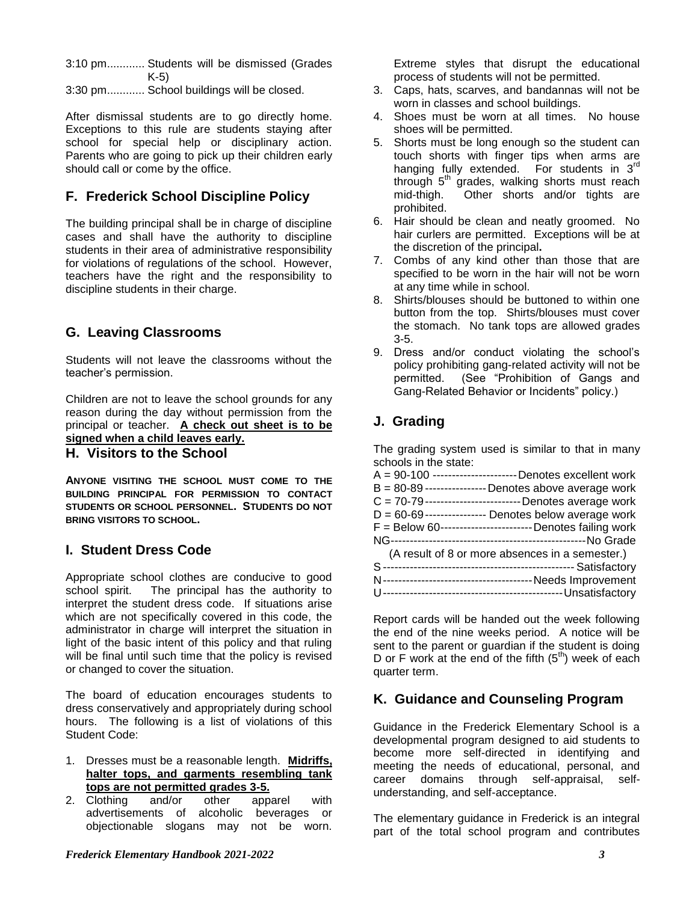3:10 pm............ Students will be dismissed (Grades K-5)

3:30 pm............ School buildings will be closed.

After dismissal students are to go directly home. Exceptions to this rule are students staying after school for special help or disciplinary action. Parents who are going to pick up their children early should call or come by the office.

# **F. Frederick School Discipline Policy**

The building principal shall be in charge of discipline cases and shall have the authority to discipline students in their area of administrative responsibility for violations of regulations of the school. However, teachers have the right and the responsibility to discipline students in their charge.

# **G. Leaving Classrooms**

Students will not leave the classrooms without the teacher's permission.

Children are not to leave the school grounds for any reason during the day without permission from the principal or teacher. **A check out sheet is to be signed when a child leaves early.**

#### **H. Visitors to the School**

**ANYONE VISITING THE SCHOOL MUST COME TO THE BUILDING PRINCIPAL FOR PERMISSION TO CONTACT STUDENTS OR SCHOOL PERSONNEL. STUDENTS DO NOT BRING VISITORS TO SCHOOL.**

## **I. Student Dress Code**

Appropriate school clothes are conducive to good school spirit. The principal has the authority to interpret the student dress code. If situations arise which are not specifically covered in this code, the administrator in charge will interpret the situation in light of the basic intent of this policy and that ruling will be final until such time that the policy is revised or changed to cover the situation.

The board of education encourages students to dress conservatively and appropriately during school hours. The following is a list of violations of this Student Code:

- 1. Dresses must be a reasonable length. **Midriffs, halter tops, and garments resembling tank tops are not permitted grades 3-5.**
- 2. Clothing and/or other apparel with advertisements of alcoholic beverages or objectionable slogans may not be worn.

Extreme styles that disrupt the educational process of students will not be permitted.

- 3. Caps, hats, scarves, and bandannas will not be worn in classes and school buildings.
- 4. Shoes must be worn at all times. No house shoes will be permitted.
- 5. Shorts must be long enough so the student can touch shorts with finger tips when arms are hanging fully extended. For students in 3<sup>rd</sup> through  $5<sup>th</sup>$  grades, walking shorts must reach mid-thigh. Other shorts and/or tights are prohibited.
- 6. Hair should be clean and neatly groomed. No hair curlers are permitted. Exceptions will be at the discretion of the principal**.**
- 7. Combs of any kind other than those that are specified to be worn in the hair will not be worn at any time while in school.
- 8. Shirts/blouses should be buttoned to within one button from the top. Shirts/blouses must cover the stomach. No tank tops are allowed grades 3-5.
- 9. Dress and/or conduct violating the school's policy prohibiting gang-related activity will not be permitted. (See "Prohibition of Gangs and Gang-Related Behavior or Incidents" policy.)

# **J. Grading**

The grading system used is similar to that in many schools in the state:

| A = 90-100 ----------------------- Denotes excellent work  |
|------------------------------------------------------------|
| $B = 80-89$ ---------------- Denotes above average work    |
| C = 70-79 --------------------------- Denotes average work |
| $D = 60-69$ ---------------- Denotes below average work    |
| F = Below 60------------------------- Denotes failing work |
|                                                            |
| (A result of 8 or more absences in a semester.)            |
|                                                            |
|                                                            |
|                                                            |

Report cards will be handed out the week following the end of the nine weeks period. A notice will be sent to the parent or guardian if the student is doing D or F work at the end of the fifth  $(5<sup>th</sup>)$  week of each quarter term.

## **K. Guidance and Counseling Program**

Guidance in the Frederick Elementary School is a developmental program designed to aid students to become more self-directed in identifying and meeting the needs of educational, personal, and career domains through self-appraisal, selfunderstanding, and self-acceptance.

The elementary guidance in Frederick is an integral part of the total school program and contributes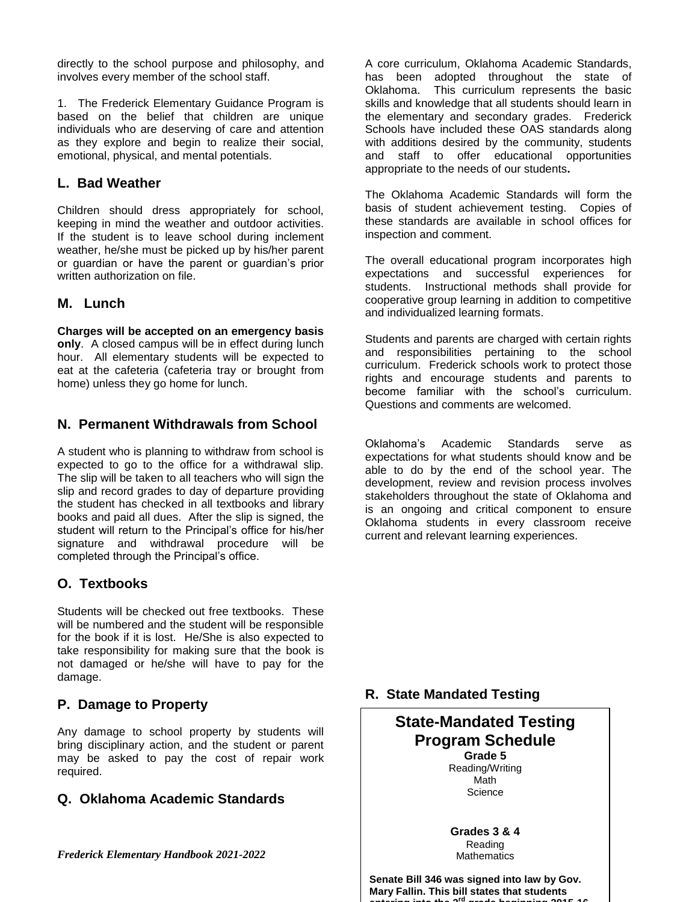directly to the school purpose and philosophy, and involves every member of the school staff.

1. The Frederick Elementary Guidance Program is based on the belief that children are unique individuals who are deserving of care and attention as they explore and begin to realize their social, emotional, physical, and mental potentials.

#### **L. Bad Weather**

Children should dress appropriately for school, keeping in mind the weather and outdoor activities. If the student is to leave school during inclement weather, he/she must be picked up by his/her parent or guardian or have the parent or guardian's prior written authorization on file.

#### **M. Lunch**

**Charges will be accepted on an emergency basis only**. A closed campus will be in effect during lunch hour. All elementary students will be expected to eat at the cafeteria (cafeteria tray or brought from home) unless they go home for lunch.

#### **N. Permanent Withdrawals from School**

A student who is planning to withdraw from school is expected to go to the office for a withdrawal slip. The slip will be taken to all teachers who will sign the slip and record grades to day of departure providing the student has checked in all textbooks and library books and paid all dues. After the slip is signed, the student will return to the Principal's office for his/her signature and withdrawal procedure will be completed through the Principal's office.

## **O. Textbooks**

Students will be checked out free textbooks. These will be numbered and the student will be responsible for the book if it is lost. He/She is also expected to take responsibility for making sure that the book is not damaged or he/she will have to pay for the damage.

## **P. Damage to Property**

Any damage to school property by students will bring disciplinary action, and the student or parent may be asked to pay the cost of repair work required.

## **Q. Oklahoma Academic Standards**

*Frederick Elementary Handbook 2021-2022 4*

A core curriculum, Oklahoma Academic Standards, has been adopted throughout the state of Oklahoma. This curriculum represents the basic skills and knowledge that all students should learn in the elementary and secondary grades. Frederick Schools have included these OAS standards along with additions desired by the community, students and staff to offer educational opportunities appropriate to the needs of our students**.**

The Oklahoma Academic Standards will form the basis of student achievement testing. Copies of these standards are available in school offices for inspection and comment.

The overall educational program incorporates high expectations and successful experiences for students. Instructional methods shall provide for cooperative group learning in addition to competitive and individualized learning formats.

Students and parents are charged with certain rights and responsibilities pertaining to the school curriculum. Frederick schools work to protect those rights and encourage students and parents to become familiar with the school's curriculum. Questions and comments are welcomed.

Oklahoma's Academic Standards serve as expectations for what students should know and be able to do by the end of the school year. The development, review and revision process involves stakeholders throughout the state of Oklahoma and is an ongoing and critical component to ensure Oklahoma students in every classroom receive current and relevant learning experiences.

#### **R. State Mandated Testing**

#### **State-Mandated Testing Program Schedule Grade 5**

Reading/Writing Math **Science** 

**Grades 3 & 4** Reading **Mathematics** 

**Senate Bill 346 was signed into law by Gov. Mary Fallin. This bill states that students entering into the 3rd grade beginning 2015-16**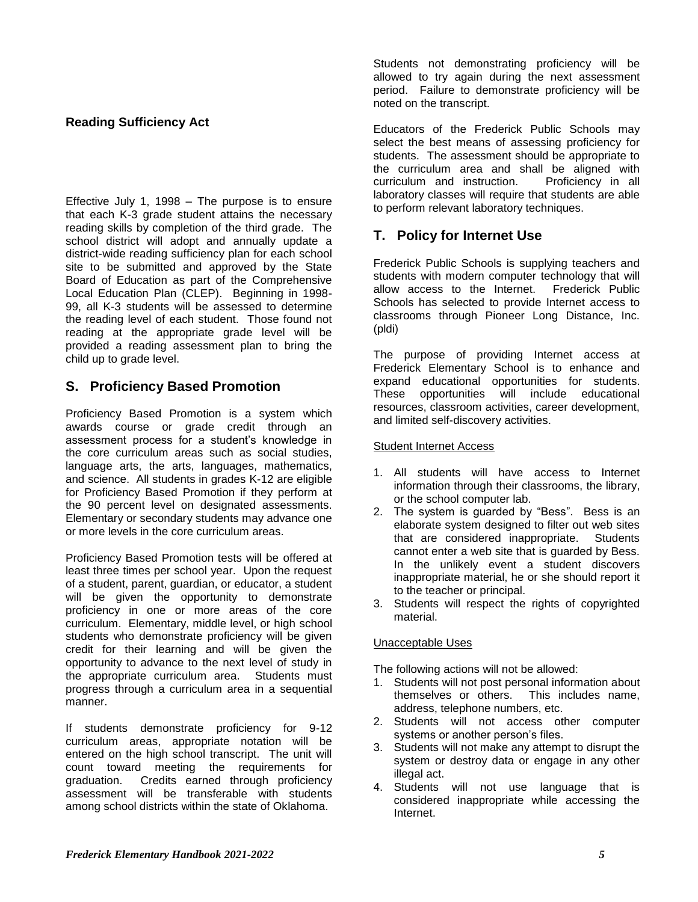#### **Reading Sufficiency Act**

Effective July 1, 1998 – The purpose is to ensure that each K-3 grade student attains the necessary reading skills by completion of the third grade. The school district will adopt and annually update a district-wide reading sufficiency plan for each school site to be submitted and approved by the State Board of Education as part of the Comprehensive Local Education Plan (CLEP). Beginning in 1998- 99, all K-3 students will be assessed to determine the reading level of each student. Those found not reading at the appropriate grade level will be provided a reading assessment plan to bring the child up to grade level.

#### **S. Proficiency Based Promotion**

Proficiency Based Promotion is a system which awards course or grade credit through an assessment process for a student's knowledge in the core curriculum areas such as social studies, language arts, the arts, languages, mathematics, and science. All students in grades K-12 are eligible for Proficiency Based Promotion if they perform at the 90 percent level on designated assessments. Elementary or secondary students may advance one or more levels in the core curriculum areas.

Proficiency Based Promotion tests will be offered at least three times per school year. Upon the request of a student, parent, guardian, or educator, a student will be given the opportunity to demonstrate proficiency in one or more areas of the core curriculum. Elementary, middle level, or high school students who demonstrate proficiency will be given credit for their learning and will be given the opportunity to advance to the next level of study in the appropriate curriculum area. Students must progress through a curriculum area in a sequential manner.

If students demonstrate proficiency for 9-12 curriculum areas, appropriate notation will be entered on the high school transcript. The unit will count toward meeting the requirements for graduation. Credits earned through proficiency assessment will be transferable with students among school districts within the state of Oklahoma.

Students not demonstrating proficiency will be allowed to try again during the next assessment period. Failure to demonstrate proficiency will be noted on the transcript.

Educators of the Frederick Public Schools may select the best means of assessing proficiency for students. The assessment should be appropriate to the curriculum area and shall be aligned with curriculum and instruction. Proficiency in all laboratory classes will require that students are able to perform relevant laboratory techniques.

# **T. Policy for Internet Use**

Frederick Public Schools is supplying teachers and students with modern computer technology that will allow access to the Internet. Frederick Public Schools has selected to provide Internet access to classrooms through Pioneer Long Distance, Inc. (pldi)

The purpose of providing Internet access at Frederick Elementary School is to enhance and expand educational opportunities for students. These opportunities will include educational resources, classroom activities, career development, and limited self-discovery activities.

#### Student Internet Access

- 1. All students will have access to Internet information through their classrooms, the library, or the school computer lab.
- 2. The system is guarded by "Bess". Bess is an elaborate system designed to filter out web sites that are considered inappropriate. Students cannot enter a web site that is guarded by Bess. In the unlikely event a student discovers inappropriate material, he or she should report it to the teacher or principal.
- 3. Students will respect the rights of copyrighted material.

#### Unacceptable Uses

The following actions will not be allowed:

- 1. Students will not post personal information about themselves or others. This includes name, address, telephone numbers, etc.
- 2. Students will not access other computer systems or another person's files.
- 3. Students will not make any attempt to disrupt the system or destroy data or engage in any other illegal act.
- 4. Students will not use language that is considered inappropriate while accessing the Internet.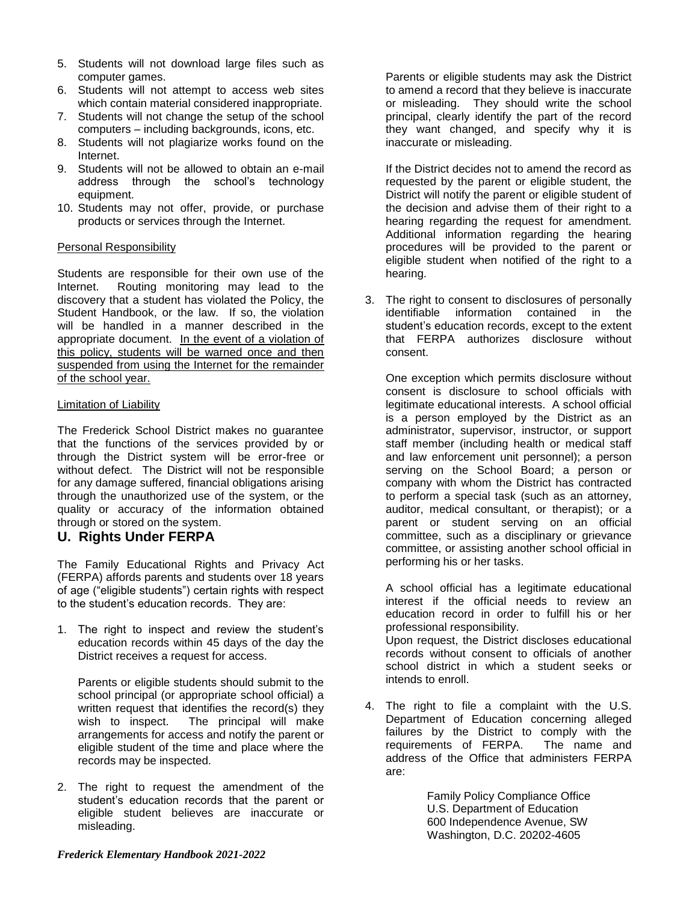- 5. Students will not download large files such as computer games.
- 6. Students will not attempt to access web sites which contain material considered inappropriate.
- 7. Students will not change the setup of the school computers – including backgrounds, icons, etc.
- 8. Students will not plagiarize works found on the Internet.
- 9. Students will not be allowed to obtain an e-mail address through the school's technology equipment.
- 10. Students may not offer, provide, or purchase products or services through the Internet.

#### Personal Responsibility

Students are responsible for their own use of the Internet. Routing monitoring may lead to the discovery that a student has violated the Policy, the Student Handbook, or the law. If so, the violation will be handled in a manner described in the appropriate document. In the event of a violation of this policy, students will be warned once and then suspended from using the Internet for the remainder of the school year.

#### Limitation of Liability

The Frederick School District makes no guarantee that the functions of the services provided by or through the District system will be error-free or without defect. The District will not be responsible for any damage suffered, financial obligations arising through the unauthorized use of the system, or the quality or accuracy of the information obtained through or stored on the system.

#### **U. Rights Under FERPA**

The Family Educational Rights and Privacy Act (FERPA) affords parents and students over 18 years of age ("eligible students") certain rights with respect to the student's education records. They are:

1. The right to inspect and review the student's education records within 45 days of the day the District receives a request for access.

Parents or eligible students should submit to the school principal (or appropriate school official) a written request that identifies the record(s) they wish to inspect. The principal will make arrangements for access and notify the parent or eligible student of the time and place where the records may be inspected.

2. The right to request the amendment of the student's education records that the parent or eligible student believes are inaccurate or misleading.

Parents or eligible students may ask the District to amend a record that they believe is inaccurate or misleading. They should write the school principal, clearly identify the part of the record they want changed, and specify why it is inaccurate or misleading.

If the District decides not to amend the record as requested by the parent or eligible student, the District will notify the parent or eligible student of the decision and advise them of their right to a hearing regarding the request for amendment. Additional information regarding the hearing procedures will be provided to the parent or eligible student when notified of the right to a hearing.

3. The right to consent to disclosures of personally identifiable information contained in the student's education records, except to the extent that FERPA authorizes disclosure without consent.

One exception which permits disclosure without consent is disclosure to school officials with legitimate educational interests. A school official is a person employed by the District as an administrator, supervisor, instructor, or support staff member (including health or medical staff and law enforcement unit personnel); a person serving on the School Board; a person or company with whom the District has contracted to perform a special task (such as an attorney, auditor, medical consultant, or therapist); or a parent or student serving on an official committee, such as a disciplinary or grievance committee, or assisting another school official in performing his or her tasks.

A school official has a legitimate educational interest if the official needs to review an education record in order to fulfill his or her professional responsibility. Upon request, the District discloses educational records without consent to officials of another school district in which a student seeks or intends to enroll.

4. The right to file a complaint with the U.S. Department of Education concerning alleged failures by the District to comply with the requirements of FERPA. The name and address of the Office that administers FERPA are:

> Family Policy Compliance Office U.S. Department of Education 600 Independence Avenue, SW Washington, D.C. 20202-4605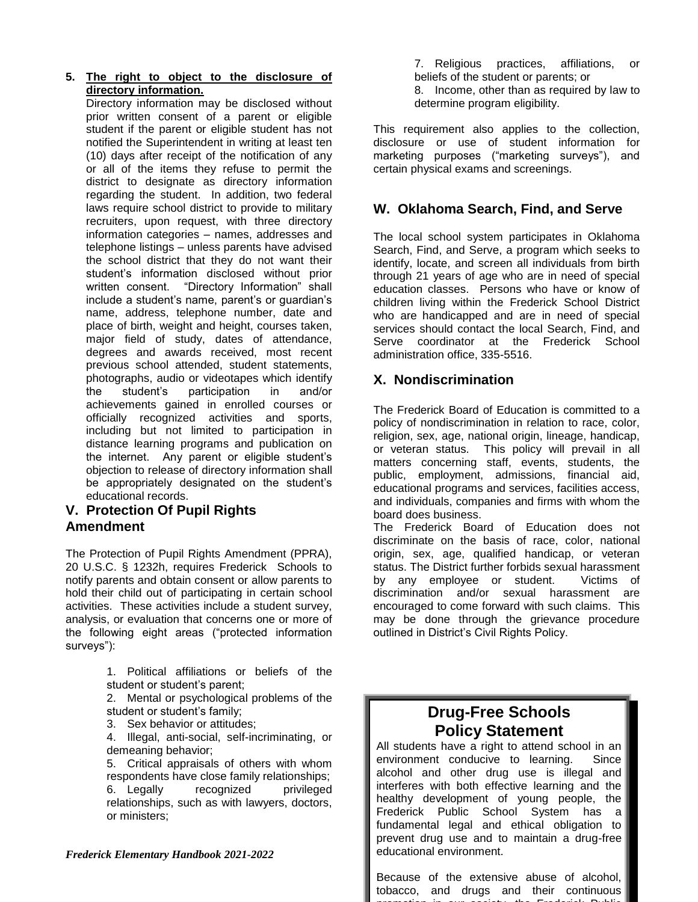#### **5. The right to object to the disclosure of directory information.**

Directory information may be disclosed without prior written consent of a parent or eligible student if the parent or eligible student has not notified the Superintendent in writing at least ten (10) days after receipt of the notification of any or all of the items they refuse to permit the district to designate as directory information regarding the student. In addition, two federal laws require school district to provide to military recruiters, upon request, with three directory information categories – names, addresses and telephone listings – unless parents have advised the school district that they do not want their student's information disclosed without prior written consent. "Directory Information" shall include a student's name, parent's or guardian's name, address, telephone number, date and place of birth, weight and height, courses taken, major field of study, dates of attendance, degrees and awards received, most recent previous school attended, student statements, photographs, audio or videotapes which identify the student's participation in and/or achievements gained in enrolled courses or officially recognized activities and sports, including but not limited to participation in distance learning programs and publication on the internet. Any parent or eligible student's objection to release of directory information shall be appropriately designated on the student's educational records.

## **V. Protection Of Pupil Rights Amendment**

The Protection of Pupil Rights Amendment (PPRA), 20 U.S.C. § 1232h, requires Frederick Schools to notify parents and obtain consent or allow parents to hold their child out of participating in certain school activities. These activities include a student survey, analysis, or evaluation that concerns one or more of the following eight areas ("protected information surveys"):

> 1. Political affiliations or beliefs of the student or student's parent;

> 2. Mental or psychological problems of the student or student's family;

3. Sex behavior or attitudes;

4. Illegal, anti-social, self-incriminating, or demeaning behavior;

5. Critical appraisals of others with whom respondents have close family relationships; 6. Legally recognized privileged relationships, such as with lawyers, doctors, or ministers;

#### *Frederick Elementary Handbook 2021-2022 7*

7. Religious practices, affiliations, or beliefs of the student or parents; or 8. Income, other than as required by law to determine program eligibility.

This requirement also applies to the collection, disclosure or use of student information for marketing purposes ("marketing surveys"), and certain physical exams and screenings.

#### **W. Oklahoma Search, Find, and Serve**

The local school system participates in Oklahoma Search, Find, and Serve, a program which seeks to identify, locate, and screen all individuals from birth through 21 years of age who are in need of special education classes. Persons who have or know of children living within the Frederick School District who are handicapped and are in need of special services should contact the local Search, Find, and Serve coordinator at the Frederick School administration office, 335-5516.

#### **X. Nondiscrimination**

The Frederick Board of Education is committed to a policy of nondiscrimination in relation to race, color, religion, sex, age, national origin, lineage, handicap, or veteran status. This policy will prevail in all matters concerning staff, events, students, the public, employment, admissions, financial aid, educational programs and services, facilities access, and individuals, companies and firms with whom the board does business.

The Frederick Board of Education does not discriminate on the basis of race, color, national origin, sex, age, qualified handicap, or veteran status. The District further forbids sexual harassment by any employee or student. Victims of discrimination and/or sexual harassment are encouraged to come forward with such claims. This may be done through the grievance procedure outlined in District's Civil Rights Policy.

# **Drug-Free Schools Policy Statement**

All students have a right to attend school in an environment conducive to learning. Since alcohol and other drug use is illegal and interferes with both effective learning and the healthy development of young people, the Frederick Public School System has a fundamental legal and ethical obligation to prevent drug use and to maintain a drug-free educational environment.

Because of the extensive abuse of alcohol, tobacco, and drugs and their continuous promotion in our society, the Frederick Public